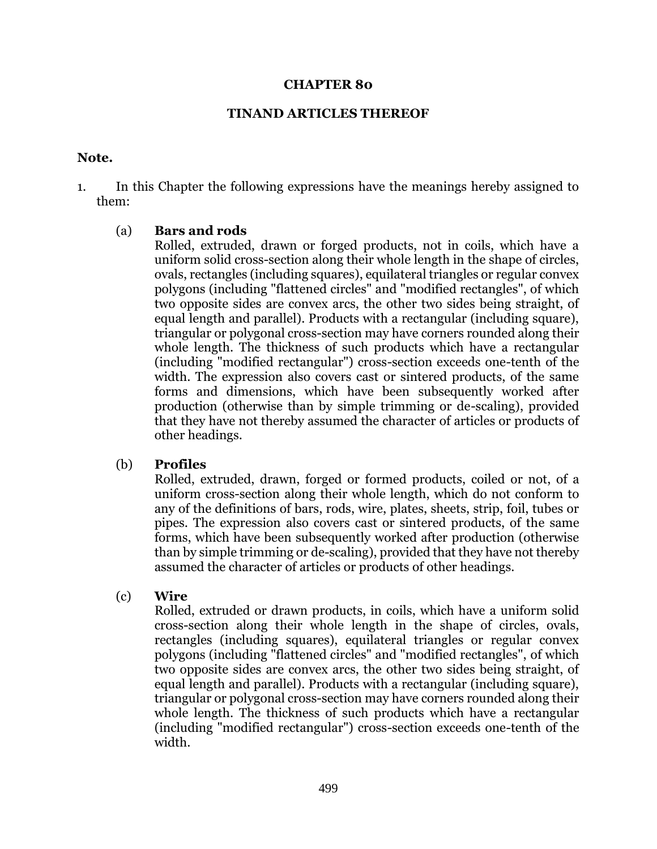#### **CHAPTER 80**

#### **TINAND ARTICLES THEREOF**

#### **Note.**

1. In this Chapter the following expressions have the meanings hereby assigned to them:

### (a) **Bars and rods**

Rolled, extruded, drawn or forged products, not in coils, which have a uniform solid cross-section along their whole length in the shape of circles, ovals, rectangles (including squares), equilateral triangles or regular convex polygons (including "flattened circles" and "modified rectangles", of which two opposite sides are convex arcs, the other two sides being straight, of equal length and parallel). Products with a rectangular (including square), triangular or polygonal cross-section may have corners rounded along their whole length. The thickness of such products which have a rectangular (including "modified rectangular") cross-section exceeds one-tenth of the width. The expression also covers cast or sintered products, of the same forms and dimensions, which have been subsequently worked after production (otherwise than by simple trimming or de-scaling), provided that they have not thereby assumed the character of articles or products of other headings.

### (b) **Profiles**

Rolled, extruded, drawn, forged or formed products, coiled or not, of a uniform cross-section along their whole length, which do not conform to any of the definitions of bars, rods, wire, plates, sheets, strip, foil, tubes or pipes. The expression also covers cast or sintered products, of the same forms, which have been subsequently worked after production (otherwise than by simple trimming or de-scaling), provided that they have not thereby assumed the character of articles or products of other headings.

### (c) **Wire**

Rolled, extruded or drawn products, in coils, which have a uniform solid cross-section along their whole length in the shape of circles, ovals, rectangles (including squares), equilateral triangles or regular convex polygons (including "flattened circles" and "modified rectangles", of which two opposite sides are convex arcs, the other two sides being straight, of equal length and parallel). Products with a rectangular (including square), triangular or polygonal cross-section may have corners rounded along their whole length. The thickness of such products which have a rectangular (including "modified rectangular") cross-section exceeds one-tenth of the width.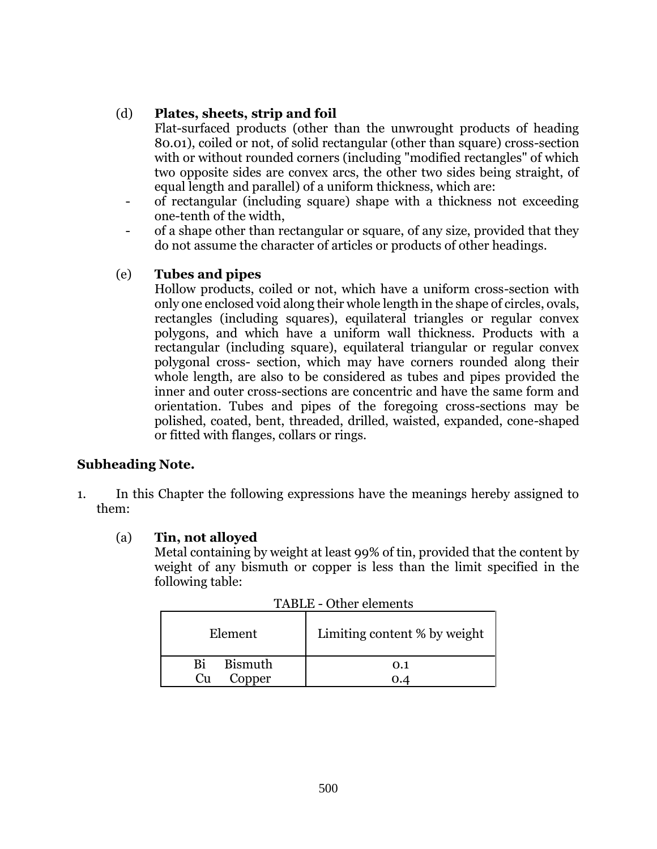## (d) **Plates, sheets, strip and foil**

Flat-surfaced products (other than the unwrought products of heading 80.01), coiled or not, of solid rectangular (other than square) cross-section with or without rounded corners (including "modified rectangles" of which two opposite sides are convex arcs, the other two sides being straight, of equal length and parallel) of a uniform thickness, which are:

- of rectangular (including square) shape with a thickness not exceeding one-tenth of the width,
- of a shape other than rectangular or square, of any size, provided that they do not assume the character of articles or products of other headings.

# (e) **Tubes and pipes**

Hollow products, coiled or not, which have a uniform cross-section with only one enclosed void along their whole length in the shape of circles, ovals, rectangles (including squares), equilateral triangles or regular convex polygons, and which have a uniform wall thickness. Products with a rectangular (including square), equilateral triangular or regular convex polygonal cross- section, which may have corners rounded along their whole length, are also to be considered as tubes and pipes provided the inner and outer cross-sections are concentric and have the same form and orientation. Tubes and pipes of the foregoing cross-sections may be polished, coated, bent, threaded, drilled, waisted, expanded, cone-shaped or fitted with flanges, collars or rings.

## **Subheading Note.**

1. In this Chapter the following expressions have the meanings hereby assigned to them:

## (a) **Tin, not alloyed**

Metal containing by weight at least 99% of tin, provided that the content by weight of any bismuth or copper is less than the limit specified in the following table:

| Element              | Limiting content % by weight |  |  |  |
|----------------------|------------------------------|--|--|--|
| <b>Bismuth</b><br>Ri | 0.1                          |  |  |  |
| Copper<br>Cu         |                              |  |  |  |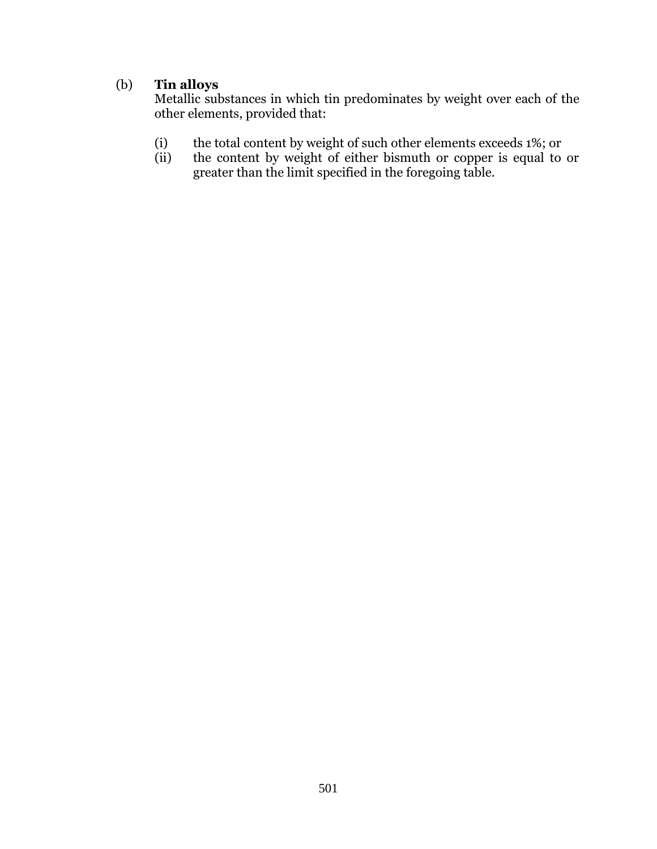# (b) **Tin alloys**

Metallic substances in which tin predominates by weight over each of the other elements, provided that:

- (i) the total content by weight of such other elements exceeds 1%; or (ii) the content by weight of either bismuth or copper is equal to
- the content by weight of either bismuth or copper is equal to or greater than the limit specified in the foregoing table.